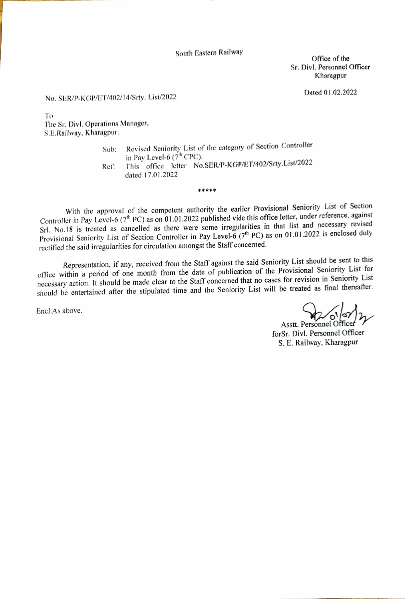South Eastern Railway<br>
Office of the

Sr. Divl. Personnel Officer Kharagpur

Dated 01.02.2022

No. SER/P-KGP/ET/402/14/Srty, List/2022

To The Sr. Divl. Operations Manager, S.E.Railway, Kharagpur.

> Revised Seniority List of the category of Section Controller in Pay Level-6  $(7<sup>th</sup>$  CPC). This office letter No.SER/P-KGP/ET/402/Srty.List/2022 dated 17.01.2022 Sub: Ref

> > \*\*\*\*

With the approval of the competent authority the earlier Provisional Seniority List of Section Controller in Pay Level-6 (7<sup>th</sup> PC) as on 01.01.2022 published vide this office letter, under reference, against Srl. No.18 is treated as cancelled as there were some irregularities in that list and necessary revised Provisional Seniority List of Section Controller in Pay Level-6 (7<sup>th</sup> PC) as on 01.01.2022 is enclosed duly rectified the said irregularities for circulation amongst the Staff concerned.

Representation, if any, received fron the Staff against the said Seniority List should be sent to this office within a period of one month from the date of publication of the Provisional Seniority List for necessary action. It should be made clear to the Staff concerned that no cases for revision in Seniority List should be entertained after the stipulated time and the Seniority List will be treated as final thereafter.

Encl.As above.

Asstt. Personnel Office forSr. Divl. Personnel Officer S. E. Railway, Kharagpur